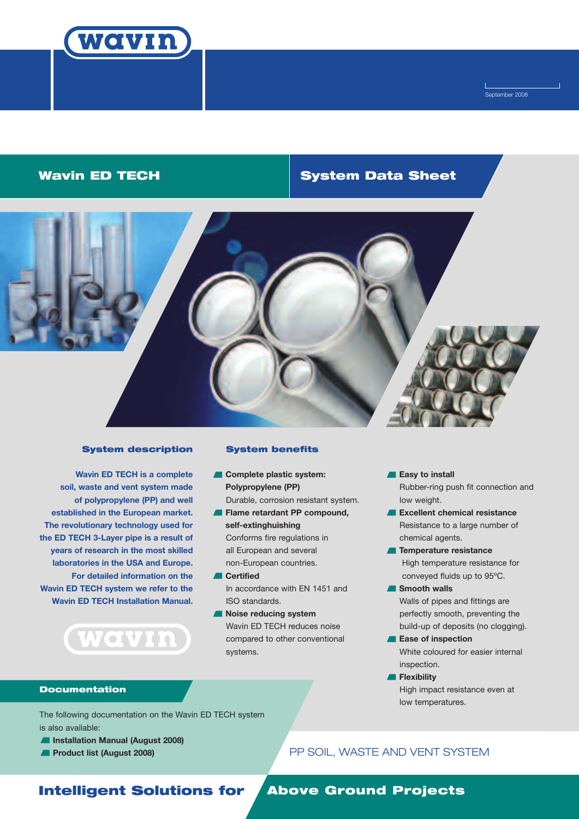

September 2008

# **Wavin ED TECH System Data Sheet**



### **System description**

**Wavin ED TECH is a complete soil, waste and vent system made of polypropylene (PP) and well established in the European market. The revolutionary technology used for the ED TECH 3-Layer pipe is a result of years of research in the most skilled laboratories in the USA and Europe. For detailed information on the Wavin ED TECH system we refer to the Wavin ED TECH Installation Manual.**

**(wavin)** 

# **System benefits**

- **Complete plastic system: Polypropylene (PP)** Durable, corrosion resistant system.
- **Flame retardant PP compound, self-extinghuishing** Conforms fire regulations in all European and several non-European countries.
- **Certified** In accordance with EN 1451 and ISO standards.
- **Noise reducing system** Wavin ED TECH reduces noise compared to other conventional systems.

**Easy to install** Rubber-ring push fit connection and low weight.

- **Excellent chemical resistance** Resistance to a large number of chemical agents.
- **Temperature resistance** High temperature resistance for conveyed fluids up to 95ºC.
- **Smooth walls** Walls of pipes and fittings are perfectly smooth, preventing the build-up of deposits (no clogging).
- **Ease of inspection** White coloured for easier internal inspection.
- **Flexibility** High impact resistance even at low temperatures.

### **Documentation**

The following documentation on the Wavin ED TECH system is also available:

- **Installation Manual (August 2008)**
- **Product list (August 2008)**

# PP SOIL, WASTE AND VENT SYSTEM

# **Intelligent Solutions for Above Ground Projects**